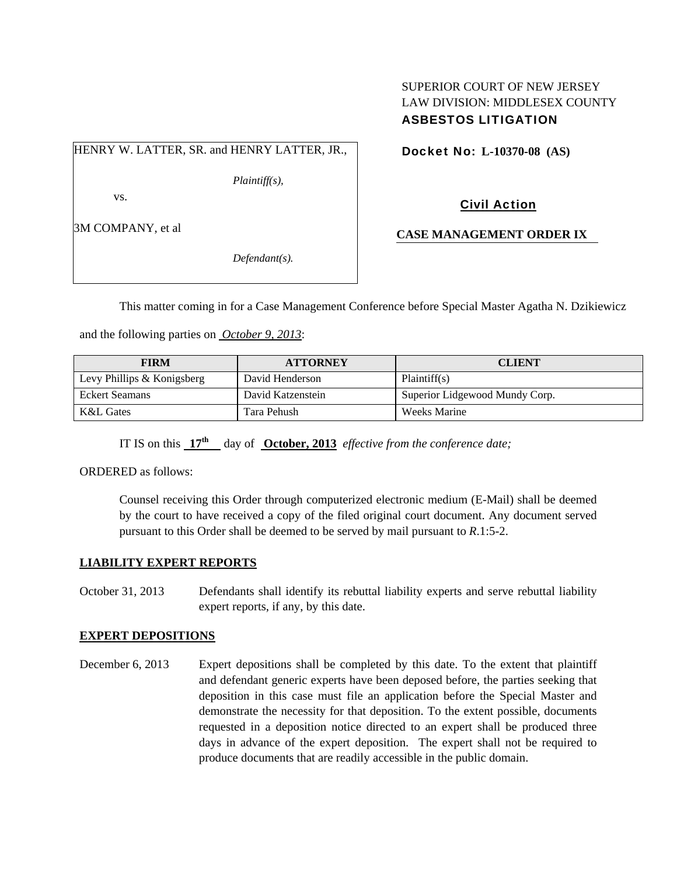## SUPERIOR COURT OF NEW JERSEY LAW DIVISION: MIDDLESEX COUNTY ASBESTOS LITIGATION

HENRY W. LATTER, SR. and HENRY LATTER, JR.,

*Plaintiff(s),* 

vs.

3M COMPANY, et al

*Defendant(s).* 

Docket No: **L-10370-08 (AS)** 

Civil Action

**CASE MANAGEMENT ORDER IX** 

This matter coming in for a Case Management Conference before Special Master Agatha N. Dzikiewicz

and the following parties on *October 9, 2013*:

| <b>FIRM</b>                | <b>ATTORNEY</b>   | <b>CLIENT</b>                  |
|----------------------------|-------------------|--------------------------------|
| Levy Phillips & Konigsberg | David Henderson   | Plaintiff(s)                   |
| Eckert Seamans             | David Katzenstein | Superior Lidgewood Mundy Corp. |
| K&L Gates                  | Tara Pehush       | <b>Weeks Marine</b>            |

IT IS on this  $17^{\text{th}}$  day of **October, 2013** *effective from the conference date;* 

ORDERED as follows:

Counsel receiving this Order through computerized electronic medium (E-Mail) shall be deemed by the court to have received a copy of the filed original court document. Any document served pursuant to this Order shall be deemed to be served by mail pursuant to *R*.1:5-2.

### **LIABILITY EXPERT REPORTS**

October 31, 2013 Defendants shall identify its rebuttal liability experts and serve rebuttal liability expert reports, if any, by this date.

### **EXPERT DEPOSITIONS**

December 6, 2013 Expert depositions shall be completed by this date. To the extent that plaintiff and defendant generic experts have been deposed before, the parties seeking that deposition in this case must file an application before the Special Master and demonstrate the necessity for that deposition. To the extent possible, documents requested in a deposition notice directed to an expert shall be produced three days in advance of the expert deposition. The expert shall not be required to produce documents that are readily accessible in the public domain.